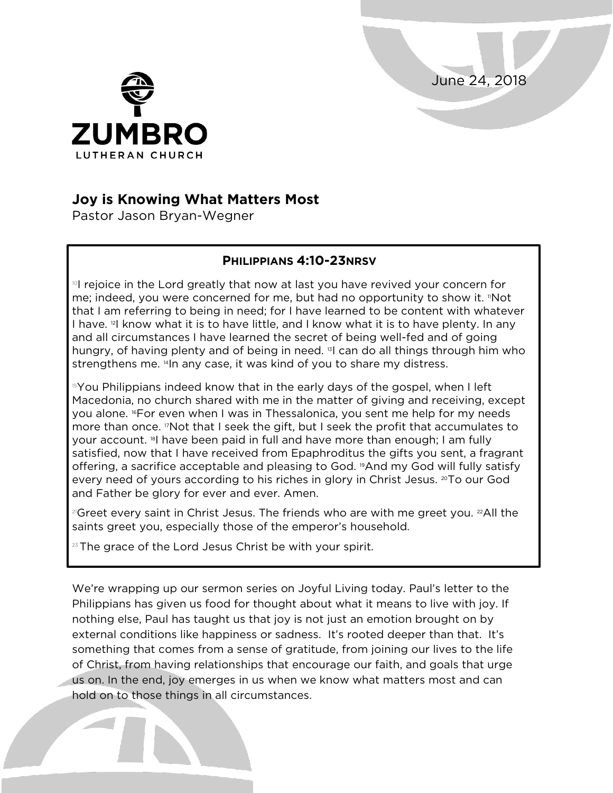June 24, 2018



## **Joy is Knowing What Matters Most**

Pastor Jason Bryan-Wegner

## **PHILIPPIANS 4:10-23NRSV**

 $\mathbb{P}$ I rejoice in the Lord greatly that now at last you have revived your concern for me; indeed, you were concerned for me, but had no opportunity to show it. "Not that I am referring to being in need; for I have learned to be content with whatever I have. <sup>2</sup> know what it is to have little, and I know what it is to have plenty. In any and all circumstances I have learned the secret of being well-fed and of going hungry, of having plenty and of being in need. <sup>13</sup>I can do all things through him who strengthens me. <sup>14</sup>In any case, it was kind of you to share my distress.

 $15$ You Philippians indeed know that in the early days of the gospel, when I left Macedonia, no church shared with me in the matter of giving and receiving, except you alone. <sup>6</sup>For even when I was in Thessalonica, you sent me help for my needs more than once. "Not that I seek the gift, but I seek the profit that accumulates to your account. <sup>18</sup> I have been paid in full and have more than enough; I am fully satisfied, now that I have received from Epaphroditus the gifts you sent, a fragrant offering, a sacrifice acceptable and pleasing to God. 19And my God will fully satisfy every need of yours according to his riches in glory in Christ Jesus. 20To our God and Father be glory for ever and ever. Amen.

<sup>21</sup>Greet every saint in Christ Jesus. The friends who are with me greet you. <sup>22</sup>All the saints greet you, especially those of the emperor's household.

 $23$  The grace of the Lord Jesus Christ be with your spirit.

We're wrapping up our sermon series on Joyful Living today. Paul's letter to the Philippians has given us food for thought about what it means to live with joy. If nothing else, Paul has taught us that joy is not just an emotion brought on by external conditions like happiness or sadness. It's rooted deeper than that. It's something that comes from a sense of gratitude, from joining our lives to the life of Christ, from having relationships that encourage our faith, and goals that urge us on. In the end, joy emerges in us when we know what matters most and can hold on to those things in all circumstances.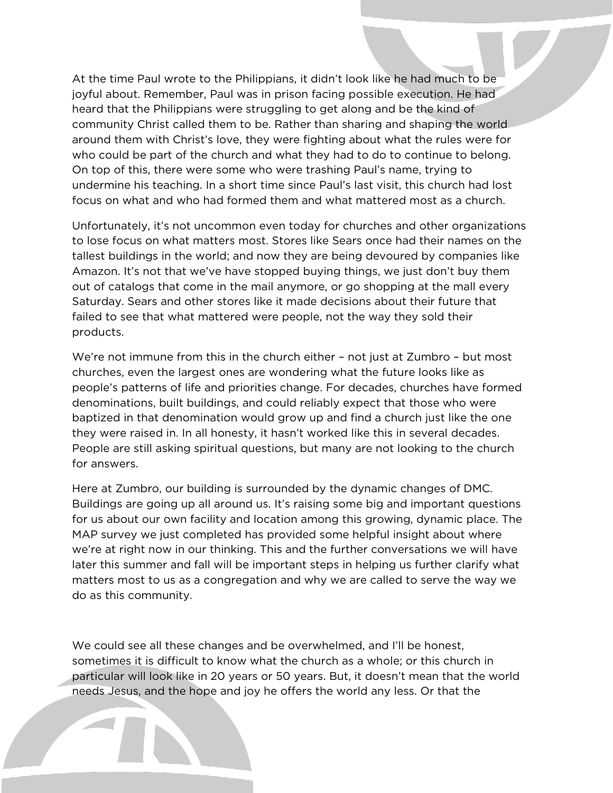At the time Paul wrote to the Philippians, it didn't look like he had much to be joyful about. Remember, Paul was in prison facing possible execution. He had heard that the Philippians were struggling to get along and be the kind of community Christ called them to be. Rather than sharing and shaping the world around them with Christ's love, they were fighting about what the rules were for who could be part of the church and what they had to do to continue to belong. On top of this, there were some who were trashing Paul's name, trying to undermine his teaching. In a short time since Paul's last visit, this church had lost focus on what and who had formed them and what mattered most as a church.

Unfortunately, it's not uncommon even today for churches and other organizations to lose focus on what matters most. Stores like Sears once had their names on the tallest buildings in the world; and now they are being devoured by companies like Amazon. It's not that we've have stopped buying things, we just don't buy them out of catalogs that come in the mail anymore, or go shopping at the mall every Saturday. Sears and other stores like it made decisions about their future that failed to see that what mattered were people, not the way they sold their products.

We're not immune from this in the church either – not just at Zumbro – but most churches, even the largest ones are wondering what the future looks like as people's patterns of life and priorities change. For decades, churches have formed denominations, built buildings, and could reliably expect that those who were baptized in that denomination would grow up and find a church just like the one they were raised in. In all honesty, it hasn't worked like this in several decades. People are still asking spiritual questions, but many are not looking to the church for answers.

Here at Zumbro, our building is surrounded by the dynamic changes of DMC. Buildings are going up all around us. It's raising some big and important questions for us about our own facility and location among this growing, dynamic place. The MAP survey we just completed has provided some helpful insight about where we're at right now in our thinking. This and the further conversations we will have later this summer and fall will be important steps in helping us further clarify what matters most to us as a congregation and why we are called to serve the way we do as this community.

We could see all these changes and be overwhelmed, and I'll be honest, sometimes it is difficult to know what the church as a whole; or this church in particular will look like in 20 years or 50 years. But, it doesn't mean that the world needs Jesus, and the hope and joy he offers the world any less. Or that the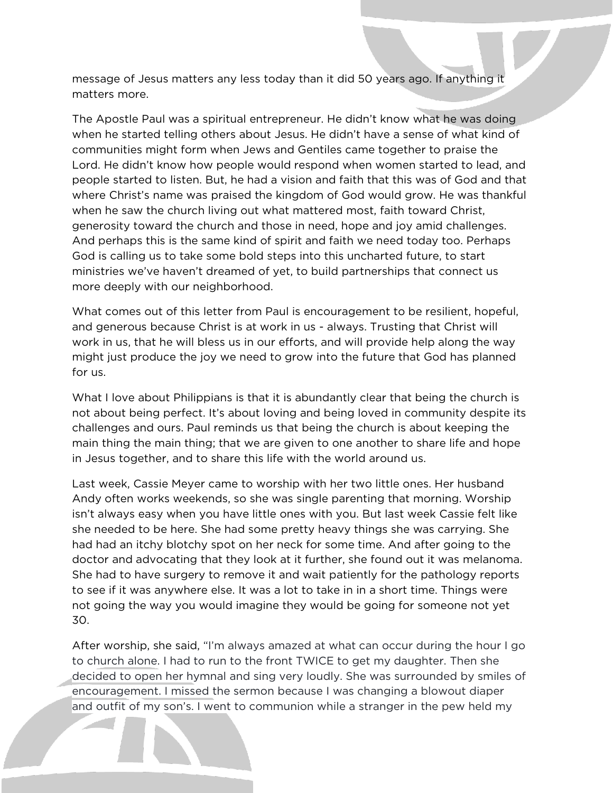message of Jesus matters any less today than it did 50 years ago. If anything it matters more.

The Apostle Paul was a spiritual entrepreneur. He didn't know what he was doing when he started telling others about Jesus. He didn't have a sense of what kind of communities might form when Jews and Gentiles came together to praise the Lord. He didn't know how people would respond when women started to lead, and people started to listen. But, he had a vision and faith that this was of God and that where Christ's name was praised the kingdom of God would grow. He was thankful when he saw the church living out what mattered most, faith toward Christ, generosity toward the church and those in need, hope and joy amid challenges. And perhaps this is the same kind of spirit and faith we need today too. Perhaps God is calling us to take some bold steps into this uncharted future, to start ministries we've haven't dreamed of yet, to build partnerships that connect us more deeply with our neighborhood.

What comes out of this letter from Paul is encouragement to be resilient, hopeful, and generous because Christ is at work in us - always. Trusting that Christ will work in us, that he will bless us in our efforts, and will provide help along the way might just produce the joy we need to grow into the future that God has planned for us.

What I love about Philippians is that it is abundantly clear that being the church is not about being perfect. It's about loving and being loved in community despite its challenges and ours. Paul reminds us that being the church is about keeping the main thing the main thing; that we are given to one another to share life and hope in Jesus together, and to share this life with the world around us.

Last week, Cassie Meyer came to worship with her two little ones. Her husband Andy often works weekends, so she was single parenting that morning. Worship isn't always easy when you have little ones with you. But last week Cassie felt like she needed to be here. She had some pretty heavy things she was carrying. She had had an itchy blotchy spot on her neck for some time. And after going to the doctor and advocating that they look at it further, she found out it was melanoma. She had to have surgery to remove it and wait patiently for the pathology reports to see if it was anywhere else. It was a lot to take in in a short time. Things were not going the way you would imagine they would be going for someone not yet 30.

After worship, she said, "I'm always amazed at what can occur during the hour I go to church alone. I had to run to the front TWICE to get my daughter. Then she decided to open her hymnal and sing very loudly. She was surrounded by smiles of encouragement. I missed the sermon because I was changing a blowout diaper and outfit of my son's. I went to communion while a stranger in the pew held my